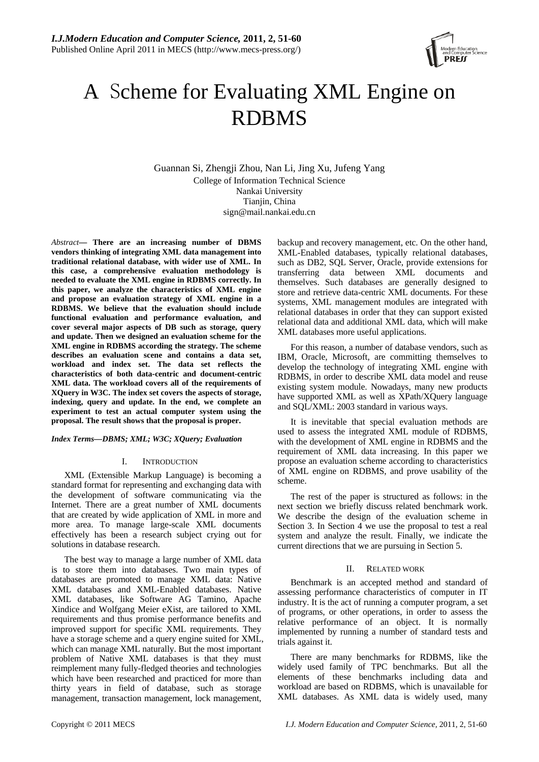

# A Scheme for Evaluating XML Engine on RDBMS

Guannan Si, Zhengji Zhou, Nan Li, Jing Xu, Jufeng Yang College of Information Technical Science Nankai University Tianjin, China sign@mail.nankai.edu.cn

*Abstract***— There are an increasing number of DBMS vendors thinking of integrating XML data management into traditional relational database, with wider use of XML. In this case, a comprehensive evaluation methodology is needed to evaluate the XML engine in RDBMS correctly. In this paper, we analyze the characteristics of XML engine and propose an evaluation strategy of XML engine in a RDBMS. We believe that the evaluation should include functional evaluation and performance evaluation, and cover several major aspects of DB such as storage, query and update. Then we designed an evaluation scheme for the XML engine in RDBMS according the strategy. The scheme describes an evaluation scene and contains a data set, workload and index set. The data set reflects the characteristics of both data-centric and document-centric XML data. The workload covers all of the requirements of XQuery in W3C. The index set covers the aspects of storage, indexing, query and update. In the end, we complete an experiment to test an actual computer system using the proposal. The result shows that the proposal is proper.** 

## *Index Terms—DBMS; XML; W3C; XQuery; Evaluation*

## I. INTRODUCTION

XML (Extensible Markup Language) is becoming a standard format for representing and exchanging data with the development of software communicating via the Internet. There are a great number of XML documents that are created by wide application of XML in more and more area. To manage large-scale XML documents effectively has been a research subject crying out for solutions in database research.

The best way to manage a large number of XML data is to store them into databases. Two main types of databases are promoted to manage XML data: Native XML databases and XML-Enabled databases. Native XML databases, like Software AG Tamino, Apache Xindice and Wolfgang Meier eXist, are tailored to XML requirements and thus promise performance benefits and improved support for specific XML requirements. They have a storage scheme and a query engine suited for XML, which can manage XML naturally. But the most important problem of Native XML databases is that they must reimplement many fully-fledged theories and technologies which have been researched and practiced for more than thirty years in field of database, such as storage management, transaction management, lock management, backup and recovery management, etc. On the other hand, XML-Enabled databases, typically relational databases, such as DB2, SQL Server, Oracle, provide extensions for transferring data between XML documents and themselves. Such databases are generally designed to store and retrieve data-centric XML documents. For these systems, XML management modules are integrated with relational databases in order that they can support existed relational data and additional XML data, which will make XML databases more useful applications.

For this reason, a number of database vendors, such as IBM, Oracle, Microsoft, are committing themselves to develop the technology of integrating XML engine with RDBMS, in order to describe XML data model and reuse existing system module. Nowadays, many new products have supported XML as well as XPath/XQuery language and SQL/XML: 2003 standard in various ways.

It is inevitable that special evaluation methods are used to assess the integrated XML module of RDBMS, with the development of XML engine in RDBMS and the requirement of XML data increasing. In this paper we propose an evaluation scheme according to characteristics of XML engine on RDBMS, and prove usability of the scheme.

The rest of the paper is structured as follows: in the next section we briefly discuss related benchmark work. We describe the design of the evaluation scheme in Section 3. In Section 4 we use the proposal to test a real system and analyze the result. Finally, we indicate the current directions that we are pursuing in Section 5.

#### II. RELATED WORK

Benchmark is an accepted method and standard of assessing performance characteristics of computer in IT industry. It is the act of running a computer program, a set of programs, or other operations, in order to assess the relative performance of an object. It is normally implemented by running a number of standard tests and trials against it.

There are many benchmarks for RDBMS, like the widely used family of TPC benchmarks. But all the elements of these benchmarks including data and workload are based on RDBMS, which is unavailable for XML databases. As XML data is widely used, many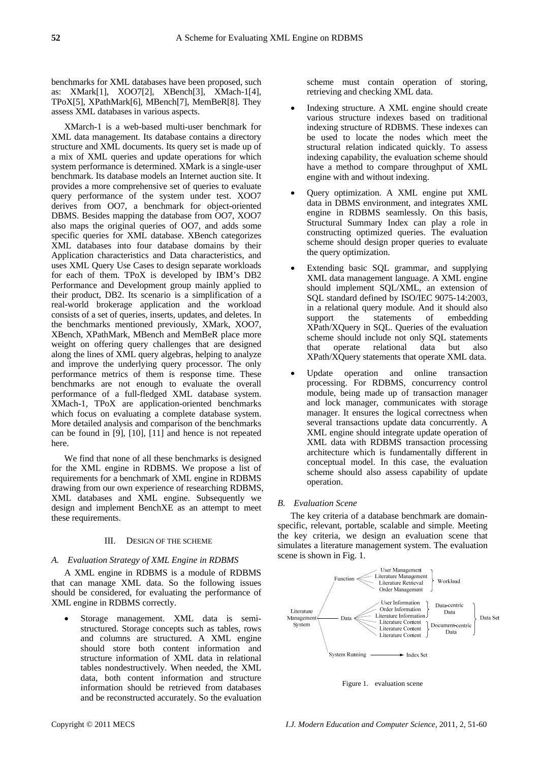benchmarks for XML databases have been proposed, such as: XMark[1], XOO7[2], XBench[3], XMach-1[4], TPoX[5], XPathMark[6], MBench[7], MemBeR[8]. They assess XML databases in various aspects.

XMarch-1 is a web-based multi-user benchmark for XML data management. Its database contains a directory structure and XML documents. Its query set is made up of a mix of XML queries and update operations for which system performance is determined. XMark is a single-user benchmark. Its database models an Internet auction site. It provides a more comprehensive set of queries to evaluate query performance of the system under test. XOO7 derives from OO7, a benchmark for object-oriented DBMS. Besides mapping the database from OO7, XOO7 also maps the original queries of OO7, and adds some specific queries for XML database. XBench categorizes XML databases into four database domains by their Application characteristics and Data characteristics, and uses XML Query Use Cases to design separate workloads for each of them. TPoX is developed by IBM's DB2 Performance and Development group mainly applied to their product, DB2. Its scenario is a simplification of a real-world brokerage application and the workload consists of a set of queries, inserts, updates, and deletes. In the benchmarks mentioned previously, XMark, XOO7, XBench, XPathMark, MBench and MemBeR place more weight on offering query challenges that are designed along the lines of XML query algebras, helping to analyze and improve the underlying query processor. The only performance metrics of them is response time. These benchmarks are not enough to evaluate the overall performance of a full-fledged XML database system. XMach-1, TPoX are application-oriented benchmarks which focus on evaluating a complete database system. More detailed analysis and comparison of the benchmarks can be found in [9], [10], [11] and hence is not repeated here.

We find that none of all these benchmarks is designed for the XML engine in RDBMS. We propose a list of requirements for a benchmark of XML engine in RDBMS drawing from our own experience of researching RDBMS, XML databases and XML engine. Subsequently we design and implement BenchXE as an attempt to meet these requirements.

# III. DESIGN OF THE SCHEME

## *A. Evaluation Strategy of XML Engine in RDBMS*

A XML engine in RDBMS is a module of RDBMS that can manage XML data. So the following issues should be considered, for evaluating the performance of XML engine in RDBMS correctly.

Storage management. XML data is semistructured. Storage concepts such as tables, rows and columns are structured. A XML engine should store both content information and structure information of XML data in relational tables nondestructively. When needed, the XML data, both content information and structure information should be retrieved from databases and be reconstructed accurately. So the evaluation scheme must contain operation of storing, retrieving and checking XML data.

- Indexing structure. A XML engine should create various structure indexes based on traditional indexing structure of RDBMS. These indexes can be used to locate the nodes which meet the structural relation indicated quickly. To assess indexing capability, the evaluation scheme should have a method to compare throughput of XML engine with and without indexing.
- Query optimization. A XML engine put XML data in DBMS environment, and integrates XML engine in RDBMS seamlessly. On this basis, Structural Summary Index can play a role in constructing optimized queries. The evaluation scheme should design proper queries to evaluate the query optimization.
- Extending basic SQL grammar, and supplying XML data management language. A XML engine should implement SQL/XML, an extension of SQL standard defined by ISO/IEC 9075-14:2003, in a relational query module. And it should also support the statements of embedding XPath/XQuery in SQL. Queries of the evaluation scheme should include not only SQL statements that operate relational data but also XPath/XQuery statements that operate XML data.
- Update operation and online transaction processing. For RDBMS, concurrency control module, being made up of transaction manager and lock manager, communicates with storage manager. It ensures the logical correctness when several transactions update data concurrently. A XML engine should integrate update operation of XML data with RDBMS transaction processing architecture which is fundamentally different in conceptual model. In this case, the evaluation scheme should also assess capability of update operation.

## *B. Evaluation Scene*

The key criteria of a database benchmark are domainspecific, relevant, portable, scalable and simple. Meeting the key criteria, we design an evaluation scene that simulates a literature management system. The evaluation scene is shown in Fig. 1.



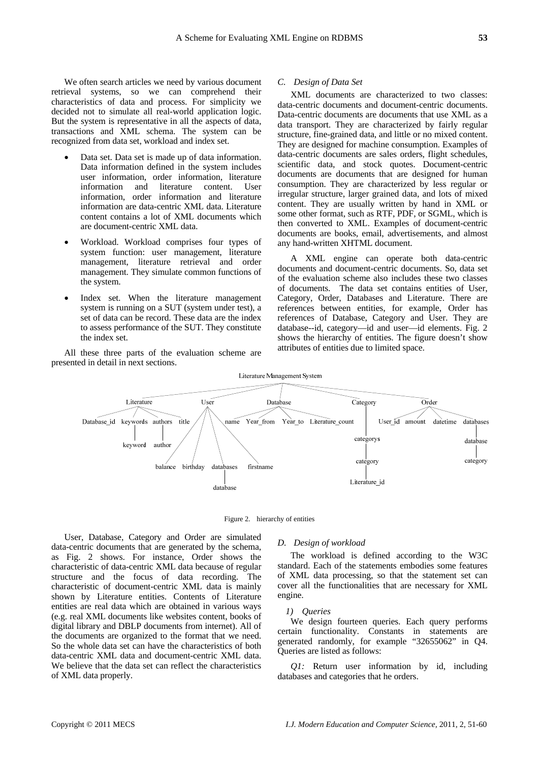We often search articles we need by various document retrieval systems, so we can comprehend their characteristics of data and process. For simplicity we decided not to simulate all real-world application logic. But the system is representative in all the aspects of data, transactions and XML schema. The system can be recognized from data set, workload and index set.

- Data set. Data set is made up of data information. Data information defined in the system includes user information, order information, literature information and literature content. User information, order information and literature information are data-centric XML data. Literature content contains a lot of XML documents which are document-centric XML data.
- Workload. Workload comprises four types of system function: user management, literature management, literature retrieval and order management. They simulate common functions of the system.
- Index set. When the literature management system is running on a SUT (system under test), a set of data can be record. These data are the index to assess performance of the SUT. They constitute the index set.

All these three parts of the evaluation scheme are presented in detail in next sections.

#### *C. Design of Data Set*

XML documents are characterized to two classes: data-centric documents and document-centric documents. Data-centric documents are documents that use XML as a data transport. They are characterized by fairly regular structure, fine-grained data, and little or no mixed content. They are designed for machine consumption. Examples of data-centric documents are sales orders, flight schedules, scientific data, and stock quotes. Document-centric documents are documents that are designed for human consumption. They are characterized by less regular or irregular structure, larger grained data, and lots of mixed content. They are usually written by hand in XML or some other format, such as RTF, PDF, or SGML, which is then converted to XML. Examples of document-centric documents are books, email, advertisements, and almost any hand-written XHTML document.

A XML engine can operate both data-centric documents and document-centric documents. So, data set of the evaluation scheme also includes these two classes of documents. The data set contains entities of User, Category, Order, Databases and Literature. There are references between entities, for example, Order has references of Database, Category and User. They are database--id, category—id and user—id elements. Fig. 2 shows the hierarchy of entities. The figure doesn't show attributes of entities due to limited space.



Figure 2. hierarchy of entities

User, Database, Category and Order are simulated data-centric documents that are generated by the schema, as Fig. 2 shows. For instance, Order shows the characteristic of data-centric XML data because of regular structure and the focus of data recording. The characteristic of document-centric XML data is mainly shown by Literature entities. Contents of Literature entities are real data which are obtained in various ways (e.g. real XML documents like websites content, books of digital library and DBLP documents from internet). All of the documents are organized to the format that we need. So the whole data set can have the characteristics of both data-centric XML data and document-centric XML data. We believe that the data set can reflect the characteristics of XML data properly.

## *D. Design of workload*

The workload is defined according to the W3C standard. Each of the statements embodies some features of XML data processing, so that the statement set can cover all the functionalities that are necessary for XML engine.

#### *1) Queries*

We design fourteen queries. Each query performs certain functionality. Constants in statements are generated randomly, for example "32655062" in Q4. Queries are listed as follows:

*Q1:* Return user information by id, including databases and categories that he orders.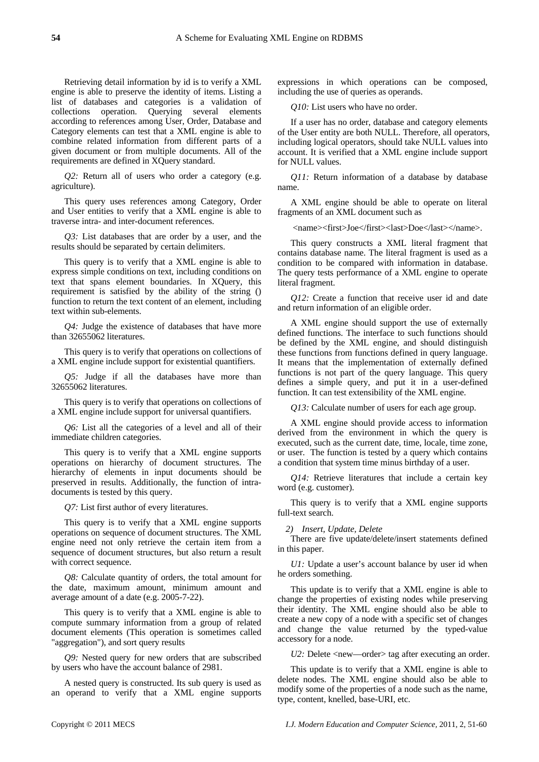Retrieving detail information by id is to verify a XML engine is able to preserve the identity of items. Listing a list of databases and categories is a validation of collections operation. Querying several elements according to references among User, Order, Database and Category elements can test that a XML engine is able to combine related information from different parts of a given document or from multiple documents. All of the requirements are defined in XQuery standard.

*Q2:* Return all of users who order a category (e.g. agriculture).

This query uses references among Category, Order and User entities to verify that a XML engine is able to traverse intra- and inter-document references.

*Q3:* List databases that are order by a user, and the results should be separated by certain delimiters.

This query is to verify that a XML engine is able to express simple conditions on text, including conditions on text that spans element boundaries. In XQuery, this requirement is satisfied by the ability of the string () function to return the text content of an element, including text within sub-elements.

*Q4:* Judge the existence of databases that have more than 32655062 literatures.

This query is to verify that operations on collections of a XML engine include support for existential quantifiers.

*Q5:* Judge if all the databases have more than 32655062 literatures.

This query is to verify that operations on collections of a XML engine include support for universal quantifiers.

*Q6:* List all the categories of a level and all of their immediate children categories.

This query is to verify that a XML engine supports operations on hierarchy of document structures. The hierarchy of elements in input documents should be preserved in results. Additionally, the function of intradocuments is tested by this query.

*Q7:* List first author of every literatures.

This query is to verify that a XML engine supports operations on sequence of document structures. The XML engine need not only retrieve the certain item from a sequence of document structures, but also return a result with correct sequence.

*Q8:* Calculate quantity of orders, the total amount for the date, maximum amount, minimum amount and average amount of a date (e.g. 2005-7-22).

This query is to verify that a XML engine is able to compute summary information from a group of related document elements (This operation is sometimes called "aggregation"), and sort query results

*Q9:* Nested query for new orders that are subscribed by users who have the account balance of 2981.

A nested query is constructed. Its sub query is used as an operand to verify that a XML engine supports expressions in which operations can be composed, including the use of queries as operands.

*Q10:* List users who have no order.

If a user has no order, database and category elements of the User entity are both NULL. Therefore, all operators, including logical operators, should take NULL values into account. It is verified that a XML engine include support for NULL values.

*Q11:* Return information of a database by database name.

A XML engine should be able to operate on literal fragments of an XML document such as

<name><first>Joe</first><last>Doe</last></name>.

This query constructs a XML literal fragment that contains database name. The literal fragment is used as a condition to be compared with information in database. The query tests performance of a XML engine to operate literal fragment.

*Q12:* Create a function that receive user id and date and return information of an eligible order.

A XML engine should support the use of externally defined functions. The interface to such functions should be defined by the XML engine, and should distinguish these functions from functions defined in query language. It means that the implementation of externally defined functions is not part of the query language. This query defines a simple query, and put it in a user-defined function. It can test extensibility of the XML engine.

*Q13:* Calculate number of users for each age group.

A XML engine should provide access to information derived from the environment in which the query is executed, such as the current date, time, locale, time zone, or user. The function is tested by a query which contains a condition that system time minus birthday of a user.

*Q14:* Retrieve literatures that include a certain key word (e.g. customer).

This query is to verify that a XML engine supports full-text search.

*2) Insert, Update, Delete* 

There are five update/delete/insert statements defined in this paper.

*U1:* Update a user's account balance by user id when he orders something.

This update is to verify that a XML engine is able to change the properties of existing nodes while preserving their identity. The XML engine should also be able to create a new copy of a node with a specific set of changes and change the value returned by the typed-value accessory for a node.

*U2:* Delete <new—order> tag after executing an order.

This update is to verify that a XML engine is able to delete nodes. The XML engine should also be able to modify some of the properties of a node such as the name, type, content, knelled, base-URI, etc.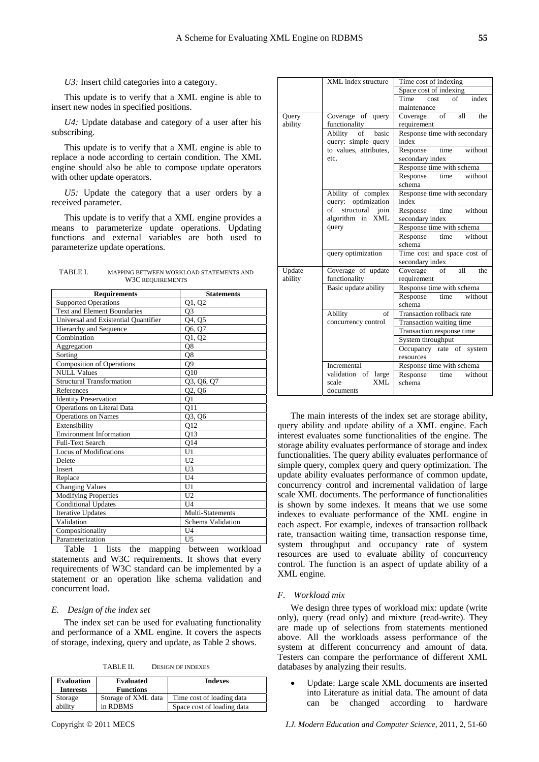*U3:* Insert child categories into a category.

This update is to verify that a XML engine is able to insert new nodes in specified positions.

*U4:* Update database and category of a user after his subscribing.

This update is to verify that a XML engine is able to replace a node according to certain condition. The XML engine should also be able to compose update operators with other update operators.

*U5:* Update the category that a user orders by a received parameter.

This update is to verify that a XML engine provides a means to parameterize update operations. Updating functions and external variables are both used to parameterize update operations.

| TABLE I. | MAPPING BETWEEN WORKLOAD STATEMENTS AND |
|----------|-----------------------------------------|
|          | W3C REQUIREMENTS                        |

| <b>Requirements</b>                  | <b>Statements</b> |  |  |
|--------------------------------------|-------------------|--|--|
| <b>Supported Operations</b>          | Q1, Q2            |  |  |
| <b>Text and Element Boundaries</b>   | O <sub>3</sub>    |  |  |
| Universal and Existential Quantifier | Q4, Q5            |  |  |
| Hierarchy and Sequence               | Q6, Q7            |  |  |
| $\overline{\text{Combination}}$      | Q1, Q2            |  |  |
| Aggregation                          | Q8                |  |  |
| Sorting                              | Q8                |  |  |
| <b>Composition of Operations</b>     | Q9                |  |  |
| <b>NULL Values</b>                   | Q10               |  |  |
| <b>Structural Transformation</b>     | Q3, Q6, Q7        |  |  |
| References                           | Q2, Q6            |  |  |
| <b>Identity Preservation</b>         | Q1                |  |  |
| Operations on Literal Data           | Q11               |  |  |
| <b>Operations on Names</b>           | Q3, Q6            |  |  |
| Extensibility                        | $Q1\overline{2}$  |  |  |
| <b>Environment Information</b>       | 013               |  |  |
| <b>Full-Text Search</b>              | Q14               |  |  |
| Locus of Modifications               | U1                |  |  |
| Delete                               | U <sub>2</sub>    |  |  |
| <b>Insert</b>                        | U3                |  |  |
| Replace                              | U <sub>4</sub>    |  |  |
| <b>Changing Values</b>               | U1                |  |  |
| Modifying Properties                 | U <sub>2</sub>    |  |  |
| <b>Conditional Updates</b>           | U <sub>4</sub>    |  |  |
| <b>Iterative Updates</b>             | Multi-Statements  |  |  |
| Validation                           | Schema Validation |  |  |
| Compositionality                     | U <sub>4</sub>    |  |  |
| Parameterization                     | U <sub>5</sub>    |  |  |

Table 1 lists the mapping between workload statements and W3C requirements. It shows that every requirements of W3C standard can be implemented by a statement or an operation like schema validation and concurrent load.

## *E. Design of the index set*

The index set can be used for evaluating functionality and performance of a XML engine. It covers the aspects of storage, indexing, query and update, as Table 2 shows.

TABLE II. DESIGN OF INDEXES

| Evaluation<br><b>Interests</b> | <b>Evaluated</b><br><b>Functions</b> | <b>Indexes</b>             |
|--------------------------------|--------------------------------------|----------------------------|
| Storage                        | Storage of XML data                  | Time cost of loading data  |
| ability                        | in RDBMS                             | Space cost of loading data |

|         | XML index structure    | Time cost of indexing                                                                   |  |  |  |
|---------|------------------------|-----------------------------------------------------------------------------------------|--|--|--|
|         |                        | Space cost of indexing                                                                  |  |  |  |
|         |                        | index<br>Time<br>of<br>cost                                                             |  |  |  |
|         |                        | maintenance                                                                             |  |  |  |
| Query   | Coverage of<br>query   | of<br>all<br>the<br>Coverage                                                            |  |  |  |
| ability | functionality          | requirement                                                                             |  |  |  |
|         | basic<br>Ability<br>of | Response time with secondary<br>index<br>time<br>without<br>Response<br>secondary index |  |  |  |
|         | query: simple query    |                                                                                         |  |  |  |
|         | to values, attributes, |                                                                                         |  |  |  |
|         | etc.                   |                                                                                         |  |  |  |
|         |                        | Response time with schema                                                               |  |  |  |
|         |                        | Response<br>time without                                                                |  |  |  |
|         |                        | schema                                                                                  |  |  |  |
|         | Ability of complex     | Response time with secondary                                                            |  |  |  |
|         | query: optimization    | index                                                                                   |  |  |  |
|         | of<br>structural join  | time<br>without<br>Response                                                             |  |  |  |
|         | algorithm in XML       | secondary index                                                                         |  |  |  |
|         | query                  | Response time with schema                                                               |  |  |  |
|         |                        | Response<br>without<br>time                                                             |  |  |  |
|         |                        | schema                                                                                  |  |  |  |
|         | query optimization     | Time cost and space cost of                                                             |  |  |  |
|         |                        | secondary index                                                                         |  |  |  |
| Update  | Coverage of update     | $\sigma$ f<br>Coverage<br>all<br>the                                                    |  |  |  |
| ability | functionality          | requirement                                                                             |  |  |  |
|         | Basic update ability   | Response time with schema                                                               |  |  |  |
|         |                        | Response<br>time without                                                                |  |  |  |
|         |                        | schema                                                                                  |  |  |  |
|         | of<br>Ability          | Transaction rollback rate                                                               |  |  |  |
|         | concurrency control    | Transaction waiting time                                                                |  |  |  |
|         |                        | Transaction response time                                                               |  |  |  |
|         |                        | System throughput                                                                       |  |  |  |
|         |                        | Occupancy rate of system                                                                |  |  |  |
|         |                        | resources                                                                               |  |  |  |
|         | Incremental            | Response time with schema                                                               |  |  |  |
|         | validation of<br>large | Response<br>time without                                                                |  |  |  |
|         | XML<br>scale           | schema                                                                                  |  |  |  |
|         | documents              |                                                                                         |  |  |  |

The main interests of the index set are storage ability, query ability and update ability of a XML engine. Each interest evaluates some functionalities of the engine. The storage ability evaluates performance of storage and index functionalities. The query ability evaluates performance of simple query, complex query and query optimization. The update ability evaluates performance of common update, concurrency control and incremental validation of large scale XML documents. The performance of functionalities is shown by some indexes. It means that we use some indexes to evaluate performance of the XML engine in each aspect. For example, indexes of transaction rollback rate, transaction waiting time, transaction response time, system throughput and occupancy rate of system resources are used to evaluate ability of concurrency control. The function is an aspect of update ability of a XML engine.

#### *F. Workload mix*

We design three types of workload mix: update (write only), query (read only) and mixture (read-write). They are made up of selections from statements mentioned above. All the workloads assess performance of the system at different concurrency and amount of data. Testers can compare the performance of different XML databases by analyzing their results.

• Update: Large scale XML documents are inserted into Literature as initial data. The amount of data can be changed according to hardware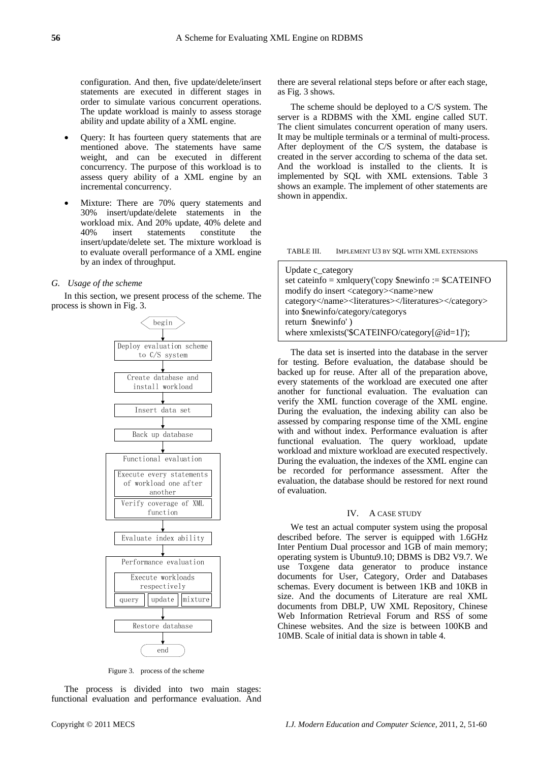configuration. And then, five update/delete/insert statements are executed in different stages in order to simulate various concurrent operations. The update workload is mainly to assess storage ability and update ability of a XML engine.

- Query: It has fourteen query statements that are mentioned above. The statements have same weight, and can be executed in different concurrency. The purpose of this workload is to assess query ability of a XML engine by an incremental concurrency.
- Mixture: There are 70% query statements and 30% insert/update/delete statements in the workload mix. And 20% update, 40% delete and 40% insert statements constitute the insert/update/delete set. The mixture workload is to evaluate overall performance of a XML engine by an index of throughput.

#### *G. Usage of the scheme*

In this section, we present process of the scheme. The process is shown in Fig. 3.



Figure 3. process of the scheme

The process is divided into two main stages: functional evaluation and performance evaluation. And

there are several relational steps before or after each stage, as Fig. 3 shows.

The scheme should be deployed to a C/S system. The server is a RDBMS with the XML engine called SUT. The client simulates concurrent operation of many users. It may be multiple terminals or a terminal of multi-process. After deployment of the C/S system, the database is created in the server according to schema of the data set. And the workload is installed to the clients. It is implemented by SQL with XML extensions. Table 3 shows an example. The implement of other statements are shown in appendix.

| TABLE III. |  | IMPLEMENT U3 BY SQL WITH XML EXTENSIONS |
|------------|--|-----------------------------------------|
|------------|--|-----------------------------------------|

| Update c_category                                      |
|--------------------------------------------------------|
| set cateinfo = $xmlquery('copy $newinfo := $CATEINFO$  |
| modify do insert <category><name>new</name></category> |
| category <literatures></literatures>                   |
| into \$newinfo/category/categorys                      |
| return \$newinfo')                                     |
| where xmlexists('\$CATEINFO/category[@id=1]');         |

The data set is inserted into the database in the server for testing. Before evaluation, the database should be backed up for reuse. After all of the preparation above, every statements of the workload are executed one after another for functional evaluation. The evaluation can verify the XML function coverage of the XML engine. During the evaluation, the indexing ability can also be assessed by comparing response time of the XML engine with and without index. Performance evaluation is after functional evaluation. The query workload, update workload and mixture workload are executed respectively. During the evaluation, the indexes of the XML engine can be recorded for performance assessment. After the evaluation, the database should be restored for next round of evaluation.

#### IV. A CASE STUDY

We test an actual computer system using the proposal described before. The server is equipped with 1.6GHz Inter Pentium Dual processor and 1GB of main memory; operating system is Ubuntu9.10; DBMS is DB2 V9.7. We use Toxgene data generator to produce instance documents for User, Category, Order and Databases schemas. Every document is between 1KB and 10KB in size. And the documents of Literature are real XML documents from DBLP, UW XML Repository, Chinese Web Information Retrieval Forum and RSS of some Chinese websites. And the size is between 100KB and 10MB. Scale of initial data is shown in table 4.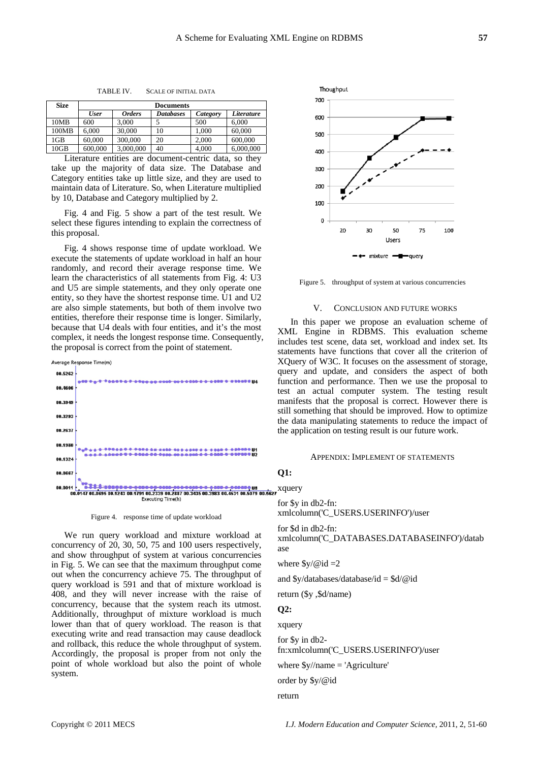| <b>Size</b> | <b>Documents</b> |               |                  |          |            |
|-------------|------------------|---------------|------------------|----------|------------|
|             | <b>User</b>      | <b>Orders</b> | <b>Databases</b> | Category | Literature |
| 10MB        | 600              | 3.000         |                  | 500      | 6.000      |
| 100MB       | 6.000            | 30,000        | 10               | 1.000    | 60,000     |
| 1GB         | 60.000           | 300,000       | 20               | 2.000    | 600,000    |
| 10GB        | 600,000          | 3,000,000     | 40               | 4.000    | 6,000,000  |

TABLE IV. SCALE OF INITIAL DATA

Literature entities are document-centric data, so they take up the majority of data size. The Database and Category entities take up little size, and they are used to maintain data of Literature. So, when Literature multiplied by 10, Database and Category multiplied by 2.

Fig. 4 and Fig. 5 show a part of the test result. We select these figures intending to explain the correctness of this proposal.

Fig. 4 shows response time of update workload. We execute the statements of update workload in half an hour randomly, and record their average response time. We learn the characteristics of all statements from Fig. 4: U3 and U5 are simple statements, and they only operate one entity, so they have the shortest response time. U1 and U2 are also simple statements, but both of them involve two entities, therefore their response time is longer. Similarly, because that U4 deals with four entities, and it's the most complex, it needs the longest response time. Consequently, the proposal is correct from the point of statement.



Figure 4. response time of update workload

We run query workload and mixture workload at concurrency of 20, 30, 50, 75 and 100 users respectively, and show throughput of system at various concurrencies in Fig. 5. We can see that the maximum throughput come out when the concurrency achieve 75. The throughput of query workload is 591 and that of mixture workload is 408, and they will never increase with the raise of concurrency, because that the system reach its utmost. Additionally, throughput of mixture workload is much lower than that of query workload. The reason is that executing write and read transaction may cause deadlock and rollback, this reduce the whole throughput of system. Accordingly, the proposal is proper from not only the point of whole workload but also the point of whole system.



Figure 5. throughput of system at various concurrencies

#### V. CONCLUSION AND FUTURE WORKS

In this paper we propose an evaluation scheme of XML Engine in RDBMS. This evaluation scheme includes test scene, data set, workload and index set. Its statements have functions that cover all the criterion of XQuery of W3C. It focuses on the assessment of storage, query and update, and considers the aspect of both function and performance. Then we use the proposal to test an actual computer system. The testing result manifests that the proposal is correct. However there is still something that should be improved. How to optimize the data manipulating statements to reduce the impact of the application on testing result is our future work.

#### APPENDIX: IMPLEMENT OF STATEMENTS

#### **Q1:**

for \$y in db2-fn:

xmlcolumn('C\_USERS.USERINFO')/user

for \$d in db2-fn: xmlcolumn('C\_DATABASES.DATABASEINFO')/datab ase

where  $y/\omega$ id =2

and \$y/databases/database/id = \$d/@id

return (\$y ,\$d/name)

#### **Q2:**

xquery

for \$y in db2-

fn:xmlcolumn('C\_USERS.USERINFO')/user

where  $\frac{y}{\text{name}}$  = 'Agriculture'

order by \$y/@id

return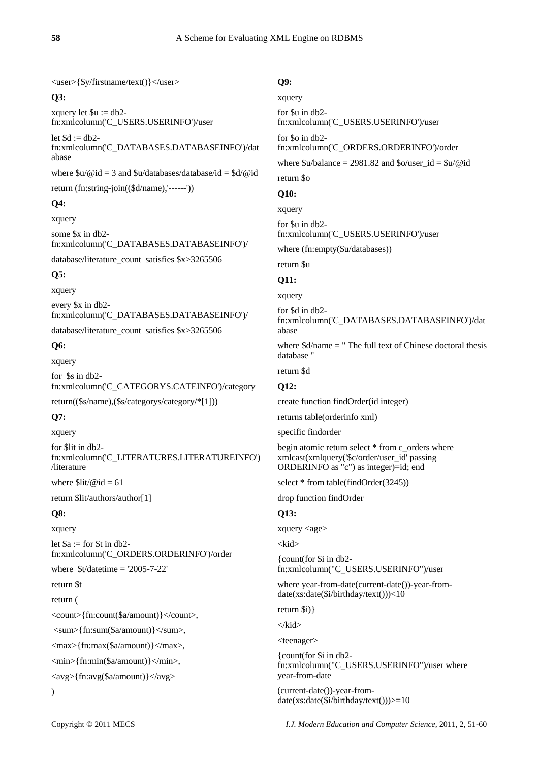<user>{\$y/firstname/text()}</user>

# **Q3:**

xquery let  $u := db2$ fn:xmlcolumn('C\_USERS.USERINFO')/user

let  $\text{Sd} := \text{d}b2$ fn:xmlcolumn('C\_DATABASES.DATABASEINFO')/dat abase

where  $u/\omega$  id = 3 and  $u/da$ tabases/database/id =  $d/\omega$ id

return (fn:string-join((\$d/name),'------'))

# **Q4:**

xquery

some \$x in db2 fn:xmlcolumn('C\_DATABASES.DATABASEINFO')/

database/literature\_count satisfies \$x>3265506

# **Q5:**

xquery

every \$x in db2 fn:xmlcolumn('C\_DATABASES.DATABASEINFO')/

database/literature\_count satisfies \$x>3265506

# **Q6:**

xquery

for \$s in db2 fn:xmlcolumn('C\_CATEGORYS.CATEINFO')/category

return((\$s/name),(\$s/categorys/category/\*[1]))

# **Q7:**

xquery

for \$lit in db2 fn:xmlcolumn('C\_LITERATURES.LITERATUREINFO') /literature

where  $\frac{\text{dist}}{\text{ed}} = 61$ 

return \$lit/authors/author[1]

# **Q8:**

xquery

let  $a :=$  for  $t$  in db2fn:xmlcolumn('C\_ORDERS.ORDERINFO')/order

where  $$t/datetime = '2005-7-22'$ 

return \$t

return (

<count>{fn:count(\$a/amount)}</count>,

 $\langle \text{sum}\$ {fn:sum(\$a/amount)} $\langle \text{sum}\rangle$ ,

<max>{fn:max(\$a/amount)}</max>,

<min>{fn:min(\$a/amount)}</min>,

<avg>{fn:avg(\$a/amount)}</avg>

)

# **Q9:**

xquery

for \$u in db2 fn:xmlcolumn('C\_USERS.USERINFO')/user

for \$o in db2 fn:xmlcolumn('C\_ORDERS.ORDERINFO')/order

where  $\u$ /balance = 2981.82 and  $\delta$ o/user\_id =  $\u$ /@id

return \$o

# **Q10:**

xquery

for \$u in db2 fn:xmlcolumn('C\_USERS.USERINFO')/user

where (fn:empty(\$u/databases))

# return \$u

# **Q11:**

xquery

for \$d in db2 fn:xmlcolumn('C\_DATABASES.DATABASEINFO')/dat abase

where  $d / name = " The full text of Chinese doctoral thesis"$ database "

return \$d

# **Q12:**

create function findOrder(id integer)

returns table(orderinfo xml)

specific findorder

begin atomic return select \* from c\_orders where xmlcast(xmlquery('\$c/order/user\_id' passing ORDERINFO as "c") as integer)=id; end

select \* from table(findOrder(3245))

drop function findOrder

# **Q13:**

xquery <age>

<kid>

{count(for \$i in db2 fn:xmlcolumn("C\_USERS.USERINFO")/user

where year-from-date(current-date())-year-fromdate(xs:date(\$i/birthday/text()))<10

return \$i)}

</kid>

<teenager>

{count(for \$i in db2 fn:xmlcolumn("C\_USERS.USERINFO")/user where year-from-date

(current-date())-year-fromdate(xs:date(\$i/birthday/text()))>=10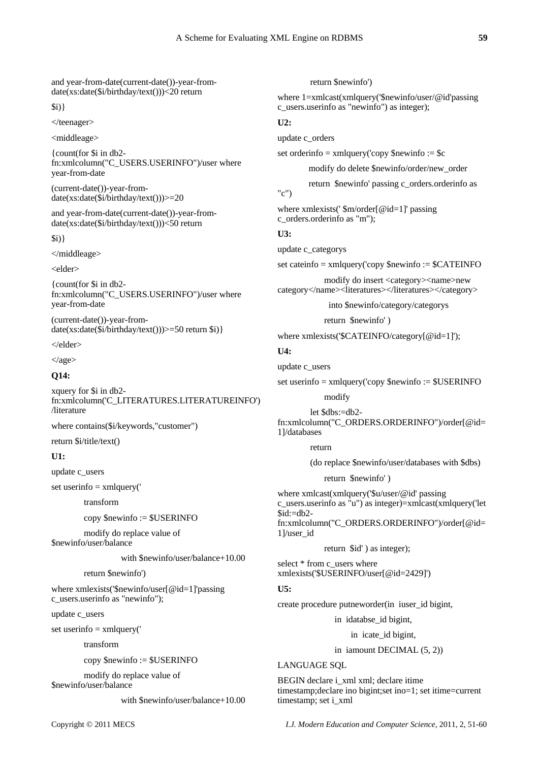and year-from-date(current-date())-year-fromdate(xs:date(\$i/birthday/text()))<20 return

 $$i)$ 

</teenager>

<middleage>

{count(for \$i in db2 fn:xmlcolumn("C\_USERS.USERINFO")/user where year-from-date

(current-date())-year-fromdate(xs:date(\$i/birthday/text()))>=20

and year-from-date(current-date())-year-fromdate(xs:date(\$i/birthday/text()))<50 return

\$i)}

</middleage>

<elder>

{count(for \$i in db2 fn:xmlcolumn("C\_USERS.USERINFO")/user where year-from-date

(current-date())-year-from $date(xs:date(\text{Si/birthday/text)}))>=50$  return \\$i) }

</elder>

 $\langle \text{age} \rangle$ 

## **Q14:**

xquery for \$i in db2 fn:xmlcolumn('C\_LITERATURES.LITERATUREINFO') /literature

where contains(\$i/keywords,"customer")

return \$i/title/text()

# **U1:**

update c\_users

set userinfo  $=$  xmlquery( $\prime$ 

transform

copy \$newinfo := \$USERINFO

modify do replace value of

\$newinfo/user/balance

with \$newinfo/user/balance+10.00

return \$newinfo')

where xmlexists('\$newinfo/user[@id=1]'passing c\_users.userinfo as "newinfo");

update c\_users

set userinfo  $=$  xmlquery( $'$ 

transform

copy \$newinfo := \$USERINFO

 modify do replace value of \$newinfo/user/balance

with \$newinfo/user/balance+10.00

return \$newinfo')

where 1=xmlcast(xmlquery('\$newinfo/user/@id'passing c\_users.userinfo as "newinfo") as integer);

## **U2:**

update c\_orders

set orderinfo = xmlquery('copy  $\text{Snewinfo} := \text{Sc}$ 

modify do delete \$newinfo/order/new\_order

return \$newinfo' passing c\_orders.orderinfo as

where xmlexists(' \$m/order[@id=1]' passing c\_orders.orderinfo as "m");

## **U3:**

"c")

update c\_categorys

set cateinfo = xmlquery('copy \$newinfo := \$CATEINFO

 modify do insert <category><name>new category</name><literatures></literatures></category>

into \$newinfo/category/categorys

return \$newinfo' )

where xmlexists('\$CATEINFO/category[@id=1]');

## **U4:**

update c\_users

set userinfo = xmlquery('copy \$newinfo := \$USERINFO

modify

let \$dbs:=db2-

fn:xmlcolumn("C\_ORDERS.ORDERINFO")/order[@id= 1]/databases

return

(do replace \$newinfo/user/databases with \$dbs)

return \$newinfo' )

where xmlcast(xmlquery('\$u/user/@id' passing c\_users.userinfo as "u") as integer)=xmlcast(xmlquery('let  $$id:=db2$ fn:xmlcolumn("C\_ORDERS.ORDERINFO")/order[@id= 1]/user\_id

return \$id' ) as integer);

select \* from c\_users where xmlexists('\$USERINFO/user[@id=2429]')

## **U5:**

create procedure putneworder(in iuser\_id bigint,

in idatabse\_id bigint,

in icate id bigint,

in iamount DECIMAL (5, 2))

LANGUAGE SQL

BEGIN declare i\_xml xml; declare itime timestamp;declare ino bigint;set ino=1; set itime=current timestamp; set i\_xml

Copyright © 2011 MECS *I.J. Modern Education and Computer Science,* 2011, 2, 51-60